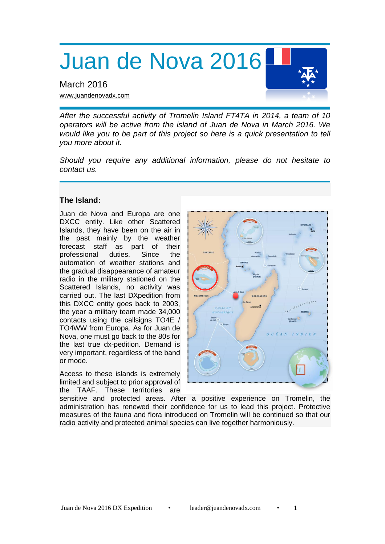Juan de Nova 2016

March 2016 [www.juandenovadx.com](http://www.juandenovadx.com/)

*After the successful activity of Tromelin Island FT4TA in 2014, a team of 10 operators will be active from the island of Juan de Nova in March 2016. We would like you to be part of this project so here is a quick presentation to tell you more about it.*

*Should you require any additional information, please do not hesitate to contact us.*

# **The Island:**

Juan de Nova and Europa are one DXCC entity. Like other Scattered Islands, they have been on the air in the past mainly by the weather forecast staff as part of their professional duties. Since the automation of weather stations and the gradual disappearance of amateur radio in the military stationed on the Scattered Islands, no activity was carried out. The last DXpedition from this DXCC entity goes back to 2003, the year a military team made 34,000 contacts using the callsigns TO4E / TO4WW from Europa. As for Juan de Nova, one must go back to the 80s for the last true dx-pedition. Demand is very important, regardless of the band or mode.

Access to these islands is extremely limited and subject to prior approval of the TAAF. These territories are



sensitive and protected areas. After a positive experience on Tromelin, the administration has renewed their confidence for us to lead this project. Protective measures of the fauna and flora introduced on Tromelin will be continued so that our radio activity and protected animal species can live together harmoniously.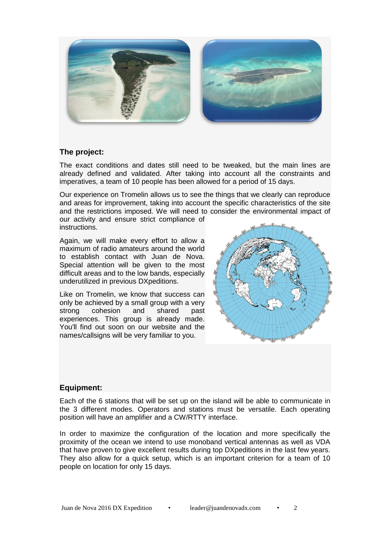

## **The project:**

The exact conditions and dates still need to be tweaked, but the main lines are already defined and validated. After taking into account all the constraints and imperatives, a team of 10 people has been allowed for a period of 15 days.

Our experience on Tromelin allows us to see the things that we clearly can reproduce and areas for improvement, taking into account the specific characteristics of the site and the restrictions imposed. We will need to consider the environmental impact of

our activity and ensure strict compliance of instructions.

Again, we will make every effort to allow a maximum of radio amateurs around the world to establish contact with Juan de Nova. Special attention will be given to the most difficult areas and to the low bands, especially underutilized in previous DXpeditions.

Like on Tromelin, we know that success can only be achieved by a small group with a very strong cohesion and shared past experiences. This group is already made. You'll find out soon on our website and the names/callsigns will be very familiar to you.



## **Equipment:**

Each of the 6 stations that will be set up on the island will be able to communicate in the 3 different modes. Operators and stations must be versatile. Each operating position will have an amplifier and a CW/RTTY interface.

In order to maximize the configuration of the location and more specifically the proximity of the ocean we intend to use monoband vertical antennas as well as VDA that have proven to give excellent results during top DXpeditions in the last few years. They also allow for a quick setup, which is an important criterion for a team of 10 people on location for only 15 days.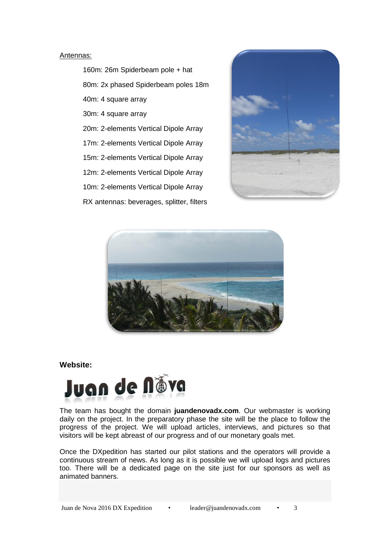#### Antennas:

160m: 26m Spiderbeam pole + hat 80m: 2x phased Spiderbeam poles 18m 40m: 4 square array 30m: 4 square array 20m: 2-elements Vertical Dipole Array 17m: 2-elements Vertical Dipole Array 15m: 2-elements Vertical Dipole Array 12m: 2-elements Vertical Dipole Array 10m: 2-elements Vertical Dipole Array RX antennas: beverages, splitter, filters





#### **Website:**



The team has bought the domain **juandenovadx.com**. Our webmaster is working daily on the project. In the preparatory phase the site will be the place to follow the progress of the project. We will upload articles, interviews, and pictures so that visitors will be kept abreast of our progress and of our monetary goals met.

Once the DXpedition has started our pilot stations and the operators will provide a continuous stream of news. As long as it is possible we will upload logs and pictures too. There will be a dedicated page on the site just for our sponsors as well as animated banners.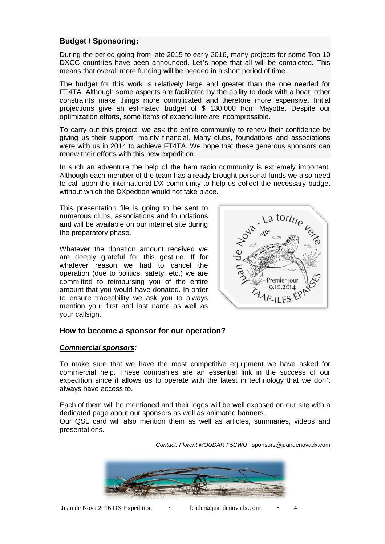# **Budget / Sponsoring:**

During the period going from late 2015 to early 2016, many projects for some Top 10 DXCC countries have been announced. Let's hope that all will be completed. This means that overall more funding will be needed in a short period of time.

The budget for this work is relatively large and greater than the one needed for FT4TA. Although some aspects are facilitated by the ability to dock with a boat, other constraints make things more complicated and therefore more expensive. Initial projections give an estimated budget of \$ 130,000 from Mayotte. Despite our optimization efforts, some items of expenditure are incompressible.

To carry out this project, we ask the entire community to renew their confidence by giving us their support, mainly financial. Many clubs, foundations and associations were with us in 2014 to achieve FT4TA. We hope that these generous sponsors can renew their efforts with this new expedition

In such an adventure the help of the ham radio community is extremely important. Although each member of the team has already brought personal funds we also need to call upon the international DX community to help us collect the necessary budget without which the DXpedtion would not take place.

This presentation file is going to be sent to numerous clubs, associations and foundations and will be available on our internet site during the preparatory phase.

Whatever the donation amount received we are deeply grateful for this gesture. If for whatever reason we had to cancel the operation (due to politics, safety, etc.) we are committed to reimbursing you of the entire amount that you would have donated. In order to ensure traceability we ask you to always mention your first and last name as well as your callsign.



# **How to become a sponsor for our operation?**

## *Commercial sponsors:*

To make sure that we have the most competitive equipment we have asked for commercial help. These companies are an essential link in the success of our expedition since it allows us to operate with the latest in technology that we don't always have access to.

Each of them will be mentioned and their logos will be well exposed on our site with a dedicated page about our sponsors as well as animated banners.

Our QSL card will also mention them as well as articles, summaries, videos and presentations.

*Contact: Florent MOUDAR F5CWU* [sponsors@juandenovadx.com](mailto:sponsors@juandenovadx.com)